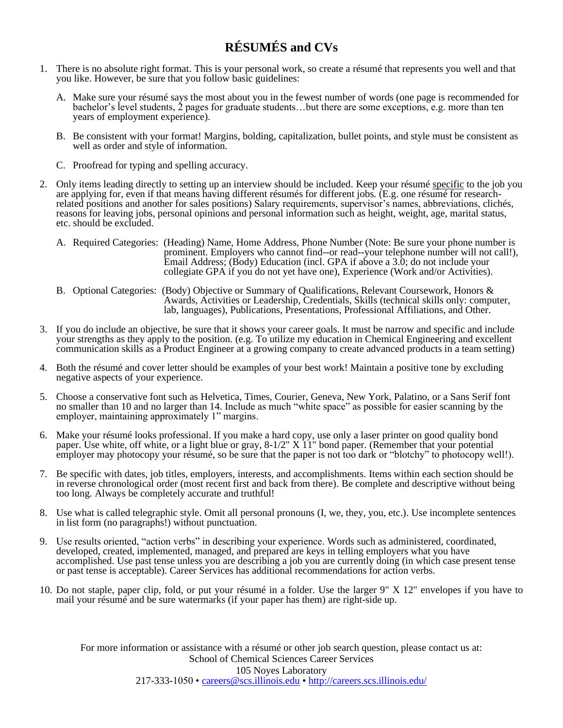# **RÉSUMÉS and CVs**

- 1. There is no absolute right format. This is your personal work, so create a résumé that represents you well and that you like. However, be sure that you follow basic guidelines:
	- A. Make sure your résumé says the most about you in the fewest number of words (one page is recommended for bachelor's level students, 2 pages for graduate students…but there are some exceptions, e.g. more than ten years of employment experience).
	- B. Be consistent with your format! Margins, bolding, capitalization, bullet points, and style must be consistent as well as order and style of information.
	- C. Proofread for typing and spelling accuracy.
- 2. Only items leading directly to setting up an interview should be included. Keep your résumé specific to the job you are applying for, even if that means having different résumés for different jobs. (E.g. one résumé for researchrelated positions and another for sales positions) Salary requirements, supervisor's names, abbreviations, clichés, reasons for leaving jobs, personal opinions and personal information such as height, weight, age, marital status, etc. should be excluded.
	- A. Required Categories: (Heading) Name, Home Address, Phone Number (Note: Be sure your phone number is prominent. Employers who cannot find--or read--your telephone number will not call!), Email Address; (Body) Education (incl. GPA if above a 3.0; do not include your collegiate GPA if you do not yet have one), Experience (Work and/or Activities).
	- B. Optional Categories: (Body) Objective or Summary of Qualifications, Relevant Coursework, Honors & Awards, Activities or Leadership, Credentials, Skills (technical skills only: computer, lab, languages), Publications, Presentations, Professional Affiliations, and Other.
- 3. If you do include an objective, be sure that it shows your career goals. It must be narrow and specific and include your strengths as they apply to the position. (e.g. To utilize my education in Chemical Engineering and excellent communication skills as a Product Engineer at a growing company to create advanced products in a team setting)
- 4. Both the résumé and cover letter should be examples of your best work! Maintain a positive tone by excluding negative aspects of your experience.
- 5. Choose a conservative font such as Helvetica, Times, Courier, Geneva, New York, Palatino, or a Sans Serif font no smaller than 10 and no larger than 14. Include as much "white space" as possible for easier scanning by the employer, maintaining approximately 1" margins.
- 6. Make your résumé looks professional. If you make a hard copy, use only a laser printer on good quality bond paper. Use white, off white, or a light blue or gray, 8-1/2" X 11" bond paper. (Remember that your potential employer may photocopy your résumé, so be sure that the paper is not too dark or "blotchy" to photocopy well!).
- 7. Be specific with dates, job titles, employers, interests, and accomplishments. Items within each section should be in reverse chronological order (most recent first and back from there). Be complete and descriptive without being too long. Always be completely accurate and truthful!
- 8. Use what is called telegraphic style. Omit all personal pronouns (I, we, they, you, etc.). Use incomplete sentences in list form (no paragraphs!) without punctuation.
- 9. Use results oriented, "action verbs" in describing your experience. Words such as administered, coordinated, developed, created, implemented, managed, and prepared are keys in telling employers what you have accomplished. Use past tense unless you are describing a job you are currently doing (in which case present tense or past tense is acceptable). Career Services has additional recommendations for action verbs.
- 10. Do not staple, paper clip, fold, or put your résumé in a folder. Use the larger 9" X 12" envelopes if you have to mail your résumé and be sure watermarks (if your paper has them) are right-side up.

For more information or assistance with a résumé or other job search question, please contact us at: School of Chemical Sciences Career Services 105 Noyes Laboratory 217-333-1050 • [careers@scs.illinois.edu](mailto:careers@scs.illinois.edu) •<http://careers.scs.illinois.edu/>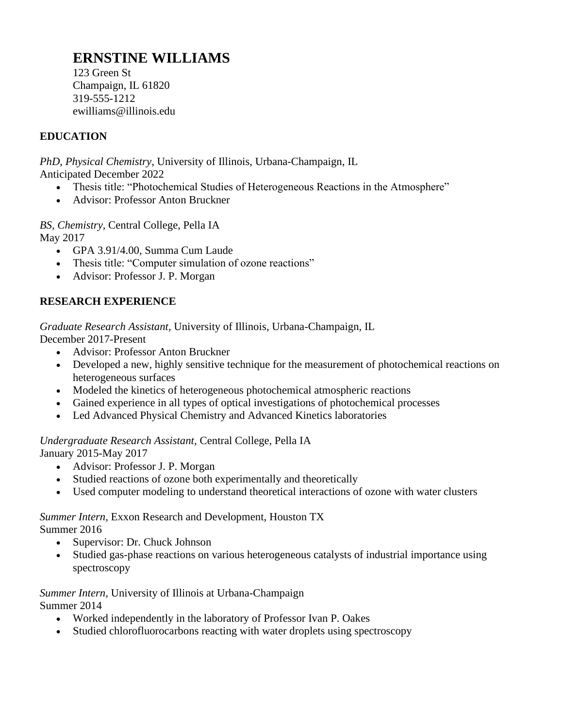# **ERNSTINE WILLIAMS**

123 Green St Champaign, IL 61820 319-555-1212 ewilliams@illinois.edu

#### **EDUCATION**

*PhD, Physical Chemistry,* University of Illinois, Urbana-Champaign, IL Anticipated December 2022

- Thesis title: "Photochemical Studies of Heterogeneous Reactions in the Atmosphere"
- Advisor: Professor Anton Bruckner

*BS, Chemistry,* Central College, Pella IA May 2017

- GPA 3.91/4.00, Summa Cum Laude
- Thesis title: "Computer simulation of ozone reactions"
- Advisor: Professor J. P. Morgan

#### **RESEARCH EXPERIENCE**

*Graduate Research Assistant,* University of Illinois, Urbana-Champaign, IL

December 2017-Present

- Advisor: Professor Anton Bruckner
- Developed a new, highly sensitive technique for the measurement of photochemical reactions on heterogeneous surfaces
- Modeled the kinetics of heterogeneous photochemical atmospheric reactions
- Gained experience in all types of optical investigations of photochemical processes
- Led Advanced Physical Chemistry and Advanced Kinetics laboratories

#### *Undergraduate Research Assistant,* Central College, Pella IA January 2015-May 2017

- Advisor: Professor J. P. Morgan
- Studied reactions of ozone both experimentally and theoretically
- Used computer modeling to understand theoretical interactions of ozone with water clusters

#### *Summer Intern,* Exxon Research and Development, Houston TX Summer 2016

- Supervisor: Dr. Chuck Johnson
- Studied gas-phase reactions on various heterogeneous catalysts of industrial importance using spectroscopy

#### *Summer Intern,* University of Illinois at Urbana-Champaign Summer 2014

- Worked independently in the laboratory of Professor Ivan P. Oakes
- Studied chlorofluorocarbons reacting with water droplets using spectroscopy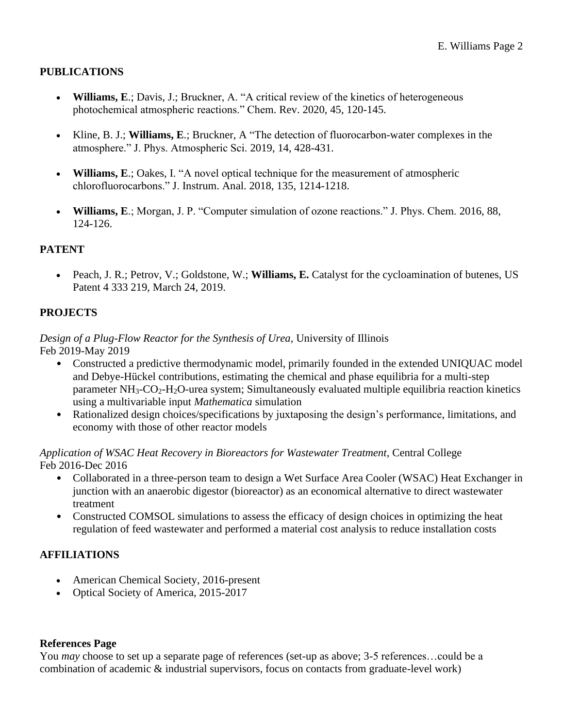#### **PUBLICATIONS**

- **Williams, E**.; Davis, J.; Bruckner, A. "A critical review of the kinetics of heterogeneous photochemical atmospheric reactions." Chem. Rev. 2020, 45, 120-145.
- Kline, B. J.; **Williams, E**.; Bruckner, A "The detection of fluorocarbon-water complexes in the atmosphere." J. Phys. Atmospheric Sci. 2019, 14, 428-431.
- **Williams, E**.; Oakes, I. "A novel optical technique for the measurement of atmospheric chlorofluorocarbons." J. Instrum. Anal. 2018, 135, 1214-1218.
- **Williams, E**.; Morgan, J. P. "Computer simulation of ozone reactions." J. Phys. Chem. 2016, 88, 124-126.

#### **PATENT**

• Peach, J. R.; Petrov, V.; Goldstone, W.; **Williams, E.** Catalyst for the cycloamination of butenes, US Patent 4 333 219, March 24, 2019.

#### **PROJECTS**

#### *Design of a Plug-Flow Reactor for the Synthesis of Urea,* University of Illinois Feb 2019-May 2019

- Constructed a predictive thermodynamic model, primarily founded in the extended UNIQUAC model and Debye-Hückel contributions, estimating the chemical and phase equilibria for a multi-step parameter NH<sub>3</sub>-CO<sub>2</sub>-H<sub>2</sub>O-urea system; Simultaneously evaluated multiple equilibria reaction kinetics using a multivariable input *Mathematica* simulation
- Rationalized design choices/specifications by juxtaposing the design's performance, limitations, and economy with those of other reactor models

#### *Application of WSAC Heat Recovery in Bioreactors for Wastewater Treatment,* Central College Feb 2016-Dec 2016

- Collaborated in a three-person team to design a Wet Surface Area Cooler (WSAC) Heat Exchanger in junction with an anaerobic digestor (bioreactor) as an economical alternative to direct wastewater treatment
- Constructed COMSOL simulations to assess the efficacy of design choices in optimizing the heat regulation of feed wastewater and performed a material cost analysis to reduce installation costs

#### **AFFILIATIONS**

- American Chemical Society, 2016-present
- Optical Society of America, 2015-2017

#### **References Page**

You *may* choose to set up a separate page of references (set-up as above; 3-5 references...could be a combination of academic & industrial supervisors, focus on contacts from graduate-level work)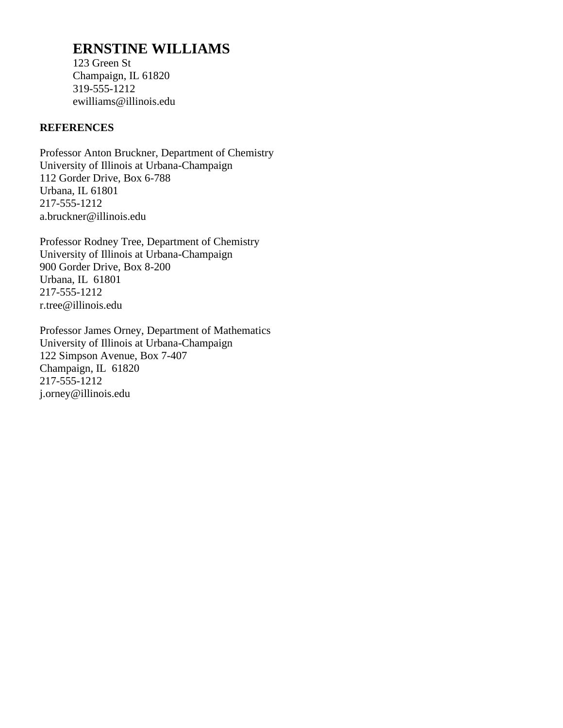## **ERNSTINE WILLIAMS**

123 Green St Champaign, IL 61820 319-555-1212 ewilliams@illinois.edu

#### **REFERENCES**

Professor Anton Bruckner, Department of Chemistry University of Illinois at Urbana-Champaign 112 Gorder Drive, Box 6-788 Urbana, IL 61801 217-555-1212 a.bruckner@illinois.edu

Professor Rodney Tree, Department of Chemistry University of Illinois at Urbana-Champaign 900 Gorder Drive, Box 8-200 Urbana, IL 61801 217-555-1212 r.tree@illinois.edu

Professor James Orney, Department of Mathematics University of Illinois at Urbana-Champaign 122 Simpson Avenue, Box 7-407 Champaign, IL 61820 217-555-1212 j.orney@illinois.edu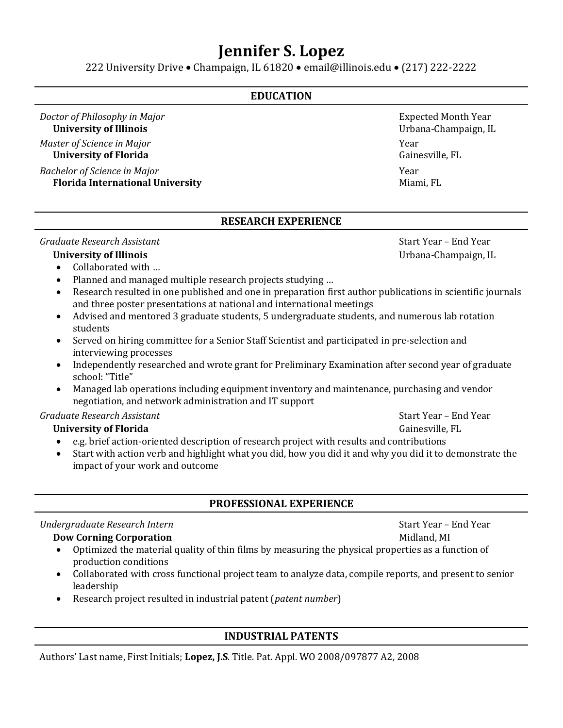# **Jennifer S. Lopez**

222 University Drive • Champaign, IL 61820 • email@illinois.edu • (217) 222-2222

#### **EDUCATION**

*Doctor of Philosophy in Major* Expected Month Year **Expected Month Year University of Illinois** Urbana-Champaign, IL

*Master of Science in Major* Year **University of Florida** Gainesville, FL

*Bachelor of Science in Major* Year **Florida International University** Miami, FL

#### **RESEARCH EXPERIENCE**

*Graduate Research Assistant* **Start Year – End Year – End Year – End Year – End Year – End Year – End Year – End Year – End Year – End Year – End Year – End Year – End Year – End Year – End Year – End Year – End Year – En** 

- Collaborated with …
- Planned and managed multiple research projects studying ...
- Research resulted in one published and one in preparation first author publications in scientific journals and three poster presentations at national and international meetings
- Advised and mentored 3 graduate students, 5 undergraduate students, and numerous lab rotation students
- Served on hiring committee for a Senior Staff Scientist and participated in pre-selection and interviewing processes
- Independently researched and wrote grant for Preliminary Examination after second year of graduate school: "Title"
- Managed lab operations including equipment inventory and maintenance, purchasing and vendor negotiation, and network administration and IT support

#### *Graduate Research Assistant* Start Year – End Year

#### **University of Florida** Gainesville, FL

- e.g. brief action-oriented description of research project with results and contributions
- Start with action verb and highlight what you did, how you did it and why you did it to demonstrate the impact of your work and outcome

#### **PROFESSIONAL EXPERIENCE**

#### *Undergraduate Research Intern* **Start Year – End Year – End Year – End Year – End Year – End Year – End Year – End Year – End Year – End Year – End Year – End Year – End Year – End Year – End Year – End Year – End Year –**

#### **Dow Corning Corporation** Midland, MI

- Optimized the material quality of thin films by measuring the physical properties as a function of production conditions
- Collaborated with cross functional project team to analyze data, compile reports, and present to senior leadership
- Research project resulted in industrial patent (*patent number*)

#### **INDUSTRIAL PATENTS**

Authors' Last name, First Initials; **Lopez, J.S**. Title. Pat. Appl. WO 2008/097877 A2, 2008

**University of Illinois** Urbana-Champaign, IL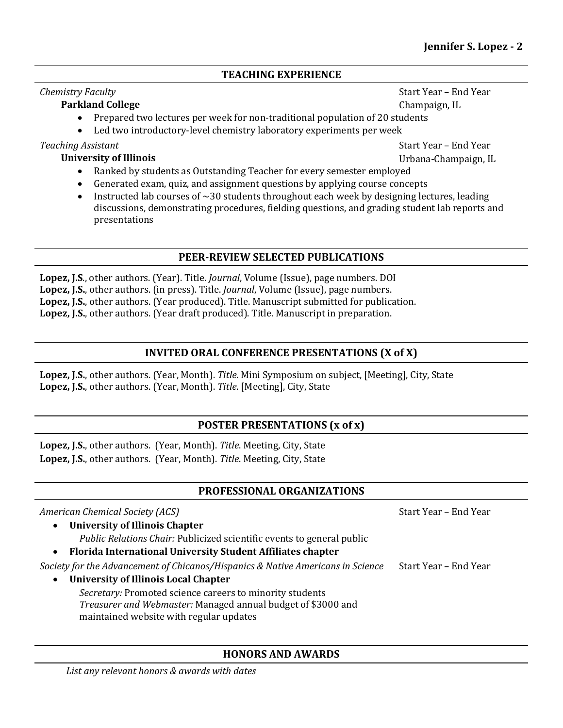#### **TEACHING EXPERIENCE**

#### *Chemistry Faculty* **Faculty** *Faculty Chemistry Faculty Particle* **<b>***Faculty Chemistry Faculty Faculty Particle* **<b>***Faculty Particle <b><i>Faculty Particle <b>Particle Particle <i>Faculty Partic*

#### **Parkland College** Champaign, IL

- Prepared two lectures per week for non-traditional population of 20 students
- Led two introductory-level chemistry laboratory experiments per week

**Teaching Assistant** Start Year – End Year – End Year – End Year – End Year – End Year – End Year – End Year – End Year – End Year – End Year – End Year – End Year – End Year – End Year – End Year – End Year – End Year – E **University of Illinois** Urbana-Champaign, IL

- Ranked by students as Outstanding Teacher for every semester employed
- Generated exam, quiz, and assignment questions by applying course concepts
- Instructed lab courses of  $\sim$  30 students throughout each week by designing lectures, leading discussions, demonstrating procedures, fielding questions, and grading student lab reports and presentations

#### **PEER-REVIEW SELECTED PUBLICATIONS**

**Lopez, J.S**., other authors. (Year). Title. *Journal*, Volume (Issue), page numbers. DOI **Lopez, J.S.**, other authors. (in press). Title. *Journal*, Volume (Issue), page numbers. **Lopez, J.S.**, other authors. (Year produced). Title. Manuscript submitted for publication. **Lopez, J.S.**, other authors. (Year draft produced). Title. Manuscript in preparation.

#### **INVITED ORAL CONFERENCE PRESENTATIONS (X of X)**

**Lopez, J.S.**, other authors. (Year, Month). *Title*. Mini Symposium on subject, [Meeting], City, State **Lopez, J.S.**, other authors. (Year, Month). *Title*. [Meeting], City, State

#### **POSTER PRESENTATIONS (x of x)**

**Lopez, J.S.**, other authors. (Year, Month). *Title*. Meeting, City, State **Lopez, J.S.**, other authors. (Year, Month). *Title*. Meeting, City, State

#### **PROFESSIONAL ORGANIZATIONS**

| American Chemical Society (ACS)                                                                         | Start Year - End Year |
|---------------------------------------------------------------------------------------------------------|-----------------------|
| <b>University of Illinois Chapter</b><br>$\bullet$                                                      |                       |
| Public Relations Chair: Publicized scientific events to general public                                  |                       |
| Florida International University Student Affiliates chapter<br>$\bullet$                                |                       |
| Society for the Advancement of Chicanos/Hispanics & Native Americans in Science                         | Start Year - End Year |
| <b>University of Illinois Local Chapter</b><br>$\bullet$                                                |                       |
| Secretary: Promoted science careers to minority students                                                |                       |
| Treasurer and Webmaster: Managed annual budget of \$3000 and<br>maintained website with regular updates |                       |

#### **HONORS AND AWARDS**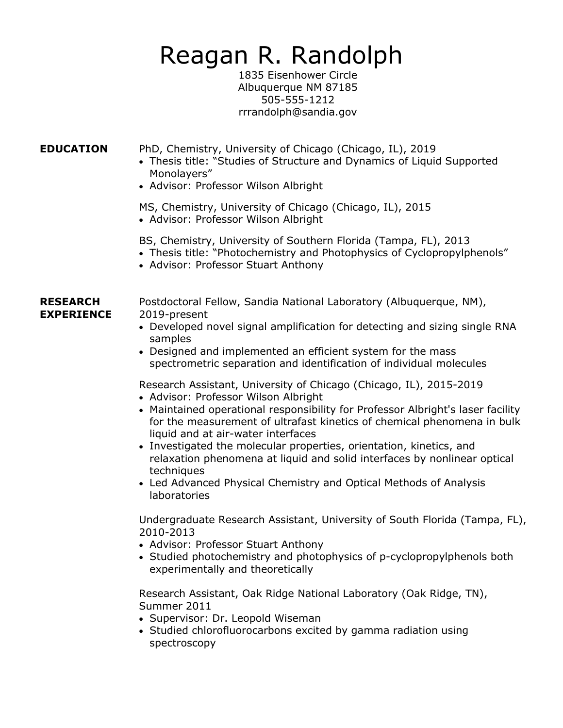# Reagan R. Randolph

1835 Eisenhower Circle Albuquerque NM 87185 505-555-1212 rrrandolph@sandia.gov

**EDUCATION** PhD, Chemistry, University of Chicago (Chicago, IL), 2019

- Thesis title: "Studies of Structure and Dynamics of Liquid Supported Monolayers"
- Advisor: Professor Wilson Albright

MS, Chemistry, University of Chicago (Chicago, IL), 2015 • Advisor: Professor Wilson Albright

BS, Chemistry, University of Southern Florida (Tampa, FL), 2013

- Thesis title: "Photochemistry and Photophysics of Cyclopropylphenols"
- Advisor: Professor Stuart Anthony

#### **RESEARCH** Postdoctoral Fellow, Sandia National Laboratory (Albuquerque, NM), **EXPERIENCE** 2019-present

- Developed novel signal amplification for detecting and sizing single RNA samples
- Designed and implemented an efficient system for the mass spectrometric separation and identification of individual molecules

Research Assistant, University of Chicago (Chicago, IL), 2015-2019

- Advisor: Professor Wilson Albright
- Maintained operational responsibility for Professor Albright's laser facility for the measurement of ultrafast kinetics of chemical phenomena in bulk liquid and at air-water interfaces
- Investigated the molecular properties, orientation, kinetics, and relaxation phenomena at liquid and solid interfaces by nonlinear optical techniques
- Led Advanced Physical Chemistry and Optical Methods of Analysis laboratories

Undergraduate Research Assistant, University of South Florida (Tampa, FL), 2010-2013

- Advisor: Professor Stuart Anthony
- Studied photochemistry and photophysics of p-cyclopropylphenols both experimentally and theoretically

Research Assistant, Oak Ridge National Laboratory (Oak Ridge, TN), Summer 2011

- Supervisor: Dr. Leopold Wiseman
- Studied chlorofluorocarbons excited by gamma radiation using spectroscopy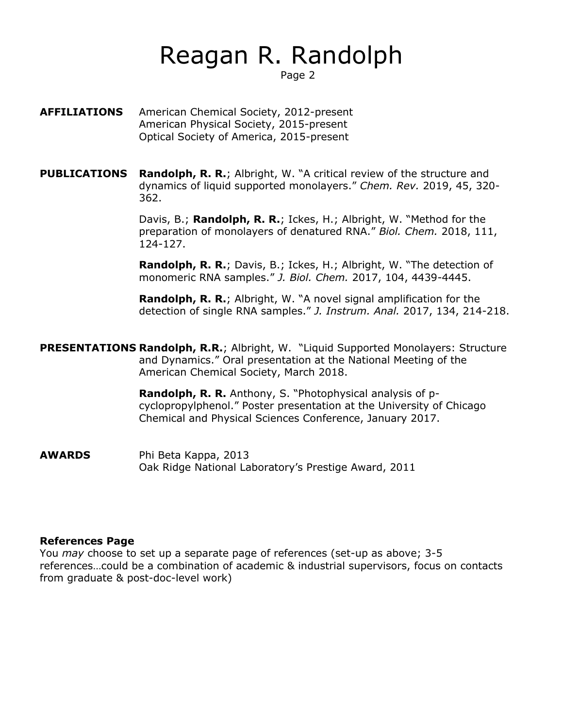# Reagan R. Randolph

Page 2

- **AFFILIATIONS** American Chemical Society, 2012-present American Physical Society, 2015-present Optical Society of America, 2015-present
- **PUBLICATIONS Randolph, R. R.;** Albright, W. "A critical review of the structure and dynamics of liquid supported monolayers." *Chem. Rev.* 2019, 45, 320- 362.

Davis, B.; **Randolph, R. R.**; Ickes, H.; Albright, W. "Method for the preparation of monolayers of denatured RNA." *Biol. Chem.* 2018, 111, 124-127.

**Randolph, R. R.**; Davis, B.; Ickes, H.; Albright, W. "The detection of monomeric RNA samples." *J. Biol. Chem.* 2017, 104, 4439-4445.

**Randolph, R. R.**; Albright, W. "A novel signal amplification for the detection of single RNA samples." *J. Instrum. Anal.* 2017, 134, 214-218.

**PRESENTATIONS Randolph, R.R.**; Albright, W. "Liquid Supported Monolayers: Structure and Dynamics." Oral presentation at the National Meeting of the American Chemical Society, March 2018.

> **Randolph, R. R.** Anthony, S. "Photophysical analysis of pcyclopropylphenol." Poster presentation at the University of Chicago Chemical and Physical Sciences Conference, January 2017.

**AWARDS** Phi Beta Kappa, 2013 Oak Ridge National Laboratory's Prestige Award, 2011

#### **References Page**

You *may* choose to set up a separate page of references (set-up as above; 3-5 references…could be a combination of academic & industrial supervisors, focus on contacts from graduate & post-doc-level work)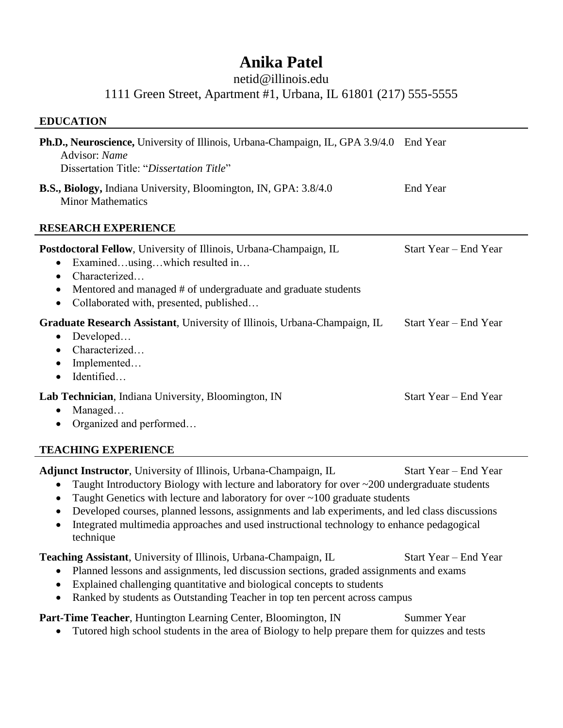# **Anika Patel**

#### netid@illinois.edu

1111 Green Street, Apartment #1, Urbana, IL 61801 (217) 555-5555

#### **EDUCATION**

| Ph.D., Neuroscience, University of Illinois, Urbana-Champaign, IL, GPA 3.9/4.0 End Year<br>Advisor: Name<br>Dissertation Title: "Dissertation Title"                                                                                                                    |                       |
|-------------------------------------------------------------------------------------------------------------------------------------------------------------------------------------------------------------------------------------------------------------------------|-----------------------|
| <b>B.S., Biology, Indiana University, Bloomington, IN, GPA: 3.8/4.0</b><br><b>Minor Mathematics</b>                                                                                                                                                                     | End Year              |
| <b>RESEARCH EXPERIENCE</b>                                                                                                                                                                                                                                              |                       |
| Postdoctoral Fellow, University of Illinois, Urbana-Champaign, IL<br>Examinedusingwhich resulted in<br>$\bullet$<br>Characterized<br>$\bullet$<br>Mentored and managed # of undergraduate and graduate students<br>Collaborated with, presented, published<br>$\bullet$ | Start Year – End Year |
| Graduate Research Assistant, University of Illinois, Urbana-Champaign, IL<br>$\bullet$ Developed<br>Characterized<br>Implemented<br>Identified<br>$\bullet$                                                                                                             | Start Year - End Year |
| Lab Technician, Indiana University, Bloomington, IN<br>Managed<br>Organized and performed                                                                                                                                                                               | Start Year – End Year |
| <b>TEACHING EXPERIENCE</b>                                                                                                                                                                                                                                              |                       |

Adjunct Instructor, University of Illinois, Urbana-Champaign, IL Start Year – End Year

- Taught Introductory Biology with lecture and laboratory for over ~200 undergraduate students
- Taught Genetics with lecture and laboratory for over ~100 graduate students
- Developed courses, planned lessons, assignments and lab experiments, and led class discussions
- Integrated multimedia approaches and used instructional technology to enhance pedagogical technique

**Teaching Assistant**, University of Illinois, Urbana-Champaign, IL Start Year – End Year

- Planned lessons and assignments, led discussion sections, graded assignments and exams
- Explained challenging quantitative and biological concepts to students
- Ranked by students as Outstanding Teacher in top ten percent across campus

**Part-Time Teacher**, Huntington Learning Center, Bloomington, IN Summer Year

• Tutored high school students in the area of Biology to help prepare them for quizzes and tests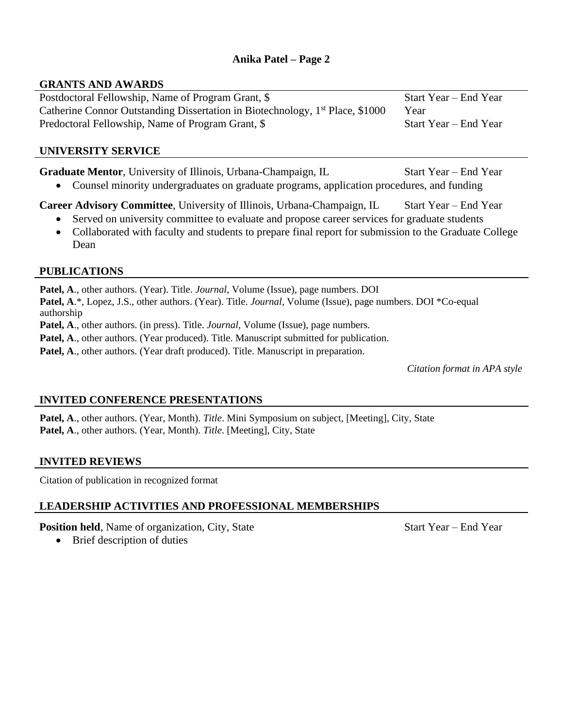#### **Anika Patel – Page 2**

#### **GRANTS AND AWARDS**

Postdoctoral Fellowship, Name of Program Grant, \$ Start Year – End Year Catherine Connor Outstanding Dissertation in Biotechnology,  $1<sup>st</sup>$  Place, \$1000 Year Predoctoral Fellowship, Name of Program Grant, \$ Start Year – End Year

#### **UNIVERSITY SERVICE**

Graduate Mentor, University of Illinois, Urbana-Champaign, IL Start Year – End Year

• Counsel minority undergraduates on graduate programs, application procedures, and funding

**Career Advisory Committee**, University of Illinois, Urbana-Champaign, IL Start Year – End Year

- Served on university committee to evaluate and propose career services for graduate students
- Collaborated with faculty and students to prepare final report for submission to the Graduate College Dean

#### **PUBLICATIONS**

**Patel, A**., other authors. (Year). Title. *Journal*, Volume (Issue), page numbers. DOI **Patel, A**.\*, Lopez, J.S., other authors. (Year). Title. *Journal*, Volume (Issue), page numbers. DOI \*Co-equal authorship

**Patel, A**., other authors. (in press). Title. *Journal*, Volume (Issue), page numbers.

Patel, A., other authors. (Year produced). Title. Manuscript submitted for publication.

Patel, A., other authors. (Year draft produced). Title. Manuscript in preparation.

*Citation format in APA style*

#### **INVITED CONFERENCE PRESENTATIONS**

**Patel, A**., other authors. (Year, Month). *Title*. Mini Symposium on subject, [Meeting], City, State **Patel, A**., other authors. (Year, Month). *Title*. [Meeting], City, State

#### **INVITED REVIEWS**

Citation of publication in recognized format

#### **LEADERSHIP ACTIVITIES AND PROFESSIONAL MEMBERSHIPS**

**Position held**, Name of organization, City, State Start Year – End Year

• Brief description of duties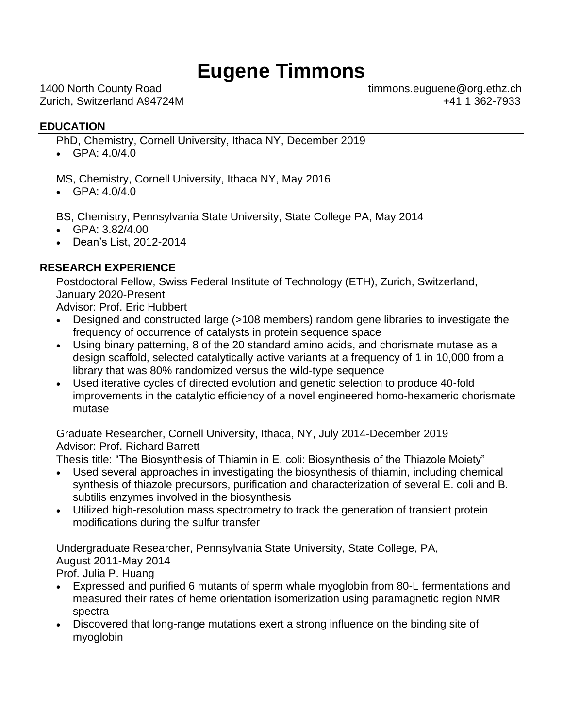# **Eugene Timmons**

1400 North County Road timmons.euguene@org.ethz.ch Zurich, Switzerland A94724M +41 1 362-7933

#### **EDUCATION**

PhD, Chemistry, Cornell University, Ithaca NY, December 2019

•  $GPA: 4.0/4.0$ 

MS, Chemistry, Cornell University, Ithaca NY, May 2016

• GPA: 4.0/4.0

BS, Chemistry, Pennsylvania State University, State College PA, May 2014

- GPA: 3.82/4.00
- Dean's List, 2012-2014

### **RESEARCH EXPERIENCE**

Postdoctoral Fellow, Swiss Federal Institute of Technology (ETH), Zurich, Switzerland, January 2020-Present

Advisor: Prof. Eric Hubbert

- Designed and constructed large (>108 members) random gene libraries to investigate the frequency of occurrence of catalysts in protein sequence space
- Using binary patterning, 8 of the 20 standard amino acids, and chorismate mutase as a design scaffold, selected catalytically active variants at a frequency of 1 in 10,000 from a library that was 80% randomized versus the wild-type sequence
- Used iterative cycles of directed evolution and genetic selection to produce 40-fold improvements in the catalytic efficiency of a novel engineered homo-hexameric chorismate mutase

Graduate Researcher, Cornell University, Ithaca, NY, July 2014-December 2019 Advisor: Prof. Richard Barrett

Thesis title: "The Biosynthesis of Thiamin in E. coli: Biosynthesis of the Thiazole Moiety"

- Used several approaches in investigating the biosynthesis of thiamin, including chemical synthesis of thiazole precursors, purification and characterization of several E. coli and B. subtilis enzymes involved in the biosynthesis
- Utilized high-resolution mass spectrometry to track the generation of transient protein modifications during the sulfur transfer

Undergraduate Researcher, Pennsylvania State University, State College, PA, August 2011-May 2014

Prof. Julia P. Huang

- Expressed and purified 6 mutants of sperm whale myoglobin from 80-L fermentations and measured their rates of heme orientation isomerization using paramagnetic region NMR spectra
- Discovered that long-range mutations exert a strong influence on the binding site of myoglobin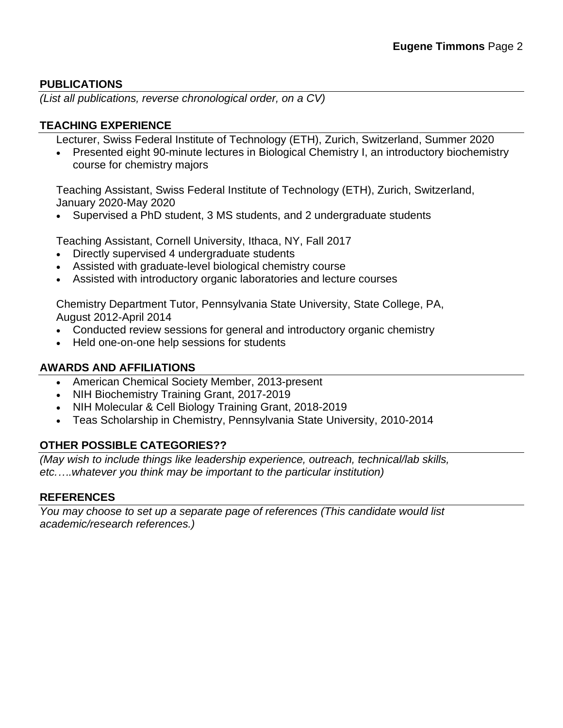#### **PUBLICATIONS**

*(List all publications, reverse chronological order, on a CV)*

#### **TEACHING EXPERIENCE**

Lecturer, Swiss Federal Institute of Technology (ETH), Zurich, Switzerland, Summer 2020

• Presented eight 90-minute lectures in Biological Chemistry I, an introductory biochemistry course for chemistry majors

Teaching Assistant, Swiss Federal Institute of Technology (ETH), Zurich, Switzerland, January 2020-May 2020

• Supervised a PhD student, 3 MS students, and 2 undergraduate students

Teaching Assistant, Cornell University, Ithaca, NY, Fall 2017

- Directly supervised 4 undergraduate students
- Assisted with graduate-level biological chemistry course
- Assisted with introductory organic laboratories and lecture courses

Chemistry Department Tutor, Pennsylvania State University, State College, PA, August 2012-April 2014

- Conducted review sessions for general and introductory organic chemistry
- Held one-on-one help sessions for students

#### **AWARDS AND AFFILIATIONS**

- American Chemical Society Member, 2013-present
- NIH Biochemistry Training Grant, 2017-2019
- NIH Molecular & Cell Biology Training Grant, 2018-2019
- Teas Scholarship in Chemistry, Pennsylvania State University, 2010-2014

#### **OTHER POSSIBLE CATEGORIES??**

*(May wish to include things like leadership experience, outreach, technical/lab skills, etc.….whatever you think may be important to the particular institution)*

#### **REFERENCES**

*You may choose to set up a separate page of references (This candidate would list academic/research references.)*